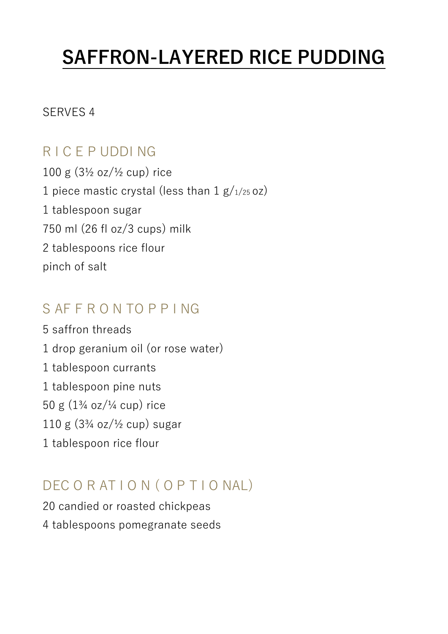# **SAFFRON-LAYERED RICE PUDDING**

#### SERVES 4

## R I C E P UDDI NG

100 g (3½ oz/½ cup) rice 1 piece mastic crystal (less than  $1 g/1/25 oz$ ) 1 tablespoon sugar 750 ml (26 fl oz/3 cups) milk 2 tablespoons rice flour pinch of salt

#### S AF F R O N TO P P I NG

5 saffron threads 1 drop geranium oil (or rose water) 1 tablespoon currants 1 tablespoon pine nuts 50 g (1¾ oz/¼ cup) rice  $110 \text{ g}$   $(3\frac{3}{4} \text{ oz}/\frac{1}{2} \text{ cup})$  sugar 1 tablespoon rice flour

## DEC O R AT I O N ( O P T I O NAL)

20 candied or roasted chickpeas 4 tablespoons pomegranate seeds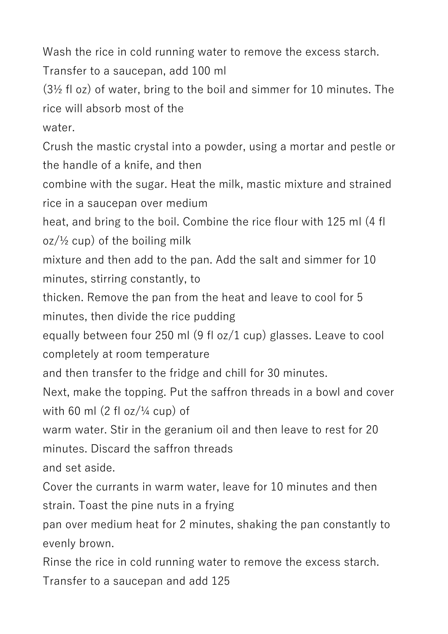Wash the rice in cold running water to remove the excess starch.

Transfer to a saucepan, add 100 ml

(3½ fl oz) of water, bring to the boil and simmer for 10 minutes. The rice will absorb most of the

water.

Crush the mastic crystal into a powder, using a mortar and pestle or the handle of a knife, and then

combine with the sugar. Heat the milk, mastic mixture and strained rice in a saucepan over medium

heat, and bring to the boil. Combine the rice flour with 125 ml (4 fl  $oz/½$  cup) of the boiling milk

mixture and then add to the pan. Add the salt and simmer for 10 minutes, stirring constantly, to

thicken. Remove the pan from the heat and leave to cool for 5 minutes, then divide the rice pudding

equally between four 250 ml (9 fl oz/1 cup) glasses. Leave to cool completely at room temperature

and then transfer to the fridge and chill for 30 minutes.

Next, make the topping. Put the saffron threads in a bowl and cover with 60 ml  $(2 \text{ fl oz}/\frac{1}{4} \text{ cup})$  of

warm water. Stir in the geranium oil and then leave to rest for 20 minutes. Discard the saffron threads

and set aside.

Cover the currants in warm water, leave for 10 minutes and then strain. Toast the pine nuts in a frying

pan over medium heat for 2 minutes, shaking the pan constantly to evenly brown.

Rinse the rice in cold running water to remove the excess starch. Transfer to a saucepan and add 125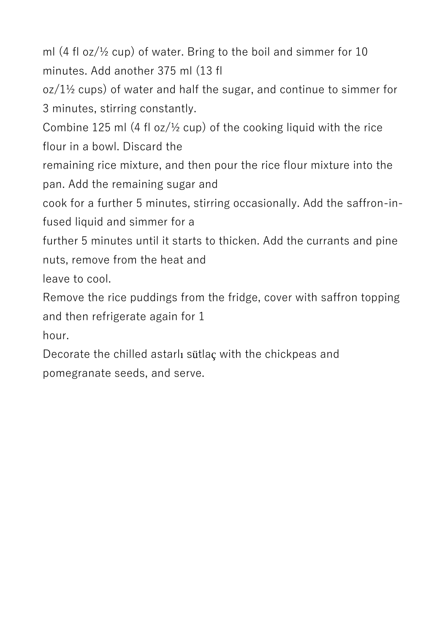ml  $(4 \text{ fl oz}/\frac{1}{2} \text{ cup})$  of water. Bring to the boil and simmer for 10 minutes. Add another 375 ml (13 fl

 $oz/1$ <sup>1</sup>/<sub>2</sub> cups) of water and half the sugar, and continue to simmer for 3 minutes, stirring constantly.

Combine 125 ml  $(4 \text{ fl oz}/\frac{1}{2} \text{ cup})$  of the cooking liquid with the rice flour in a bowl. Discard the

remaining rice mixture, and then pour the rice flour mixture into the pan. Add the remaining sugar and

cook for a further 5 minutes, stirring occasionally. Add the saffron-infused liquid and simmer for a

further 5 minutes until it starts to thicken. Add the currants and pine nuts, remove from the heat and

leave to cool.

Remove the rice puddings from the fridge, cover with saffron topping and then refrigerate again for 1

hour.

Decorate the chilled astarlı sütlaç with the chickpeas and pomegranate seeds, and serve.